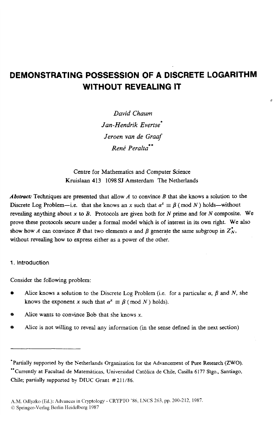# **DEMONSTRATING POSSESSION OF A DISCRETE LOGARITHM WITHOUT REVEALING IT**

a.

*David Chaum <i>Jan-Hendrik Evertse Jeroen van de Graaf Rend Pera Ita\** \*

Centre for Mathematics and Computer Science Kruislaan **413** 1098 **SJ** Amsterdam The Netherlands

*Abstmct:* Techniques are presented that allow *A* to convince *B* that she knows a solution to the Discrete Log Problem-i.e. that she knows an *x* such that  $\alpha^x \equiv \beta \pmod{N}$  holds-without revealing anything about **x** *to B.* Protocols are given both for *N* prime **and** for *N* composite. We prove these protocols *secure* under a formal model which is **of** interest in **its** own **right.** We also show how *A* can convince *B* that two elements  $\alpha$  and  $\beta$  generate the same subgroup in  $Z_N^*$ , without revealing how to express either **as** a power of the other.

#### **1. Introduction**

Consider the following problem:

- Alice knows a solution to the Discrete Log Problem (i.e. for a particular  $\alpha$ ,  $\beta$  and *N*, she knows the exponent **x** such that  $\alpha^x \equiv \beta$  (mod *N*) holds).
- Alice wants to **convince** Bob that she knows **x.**
- Alice is not willing to reveal any information (in the sense defined in the next section)

<sup>\*</sup>Partially supported by the Netherlands Organisation for the Advancement of Pure Research (ZWO).<br>\*\*Currently at Facultad de Matemáticas, Universidad Católica de Chile, Casilla 6177 Stgo., Santiago, **Chile; partially supported** by **DIUC Grant #211/86.**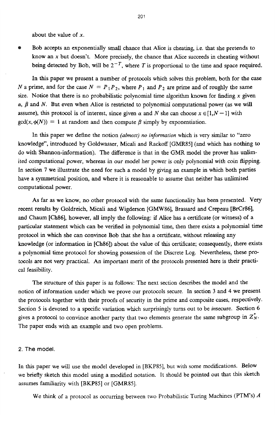about the value of  $x$ .

Bob accepts an exponentially small chance that Alice is cheating, i.e. that she pretends to know an x but doesn't. More precisely, the chance that *Alice* succeeds in cheating without being detected by Bob, will be  $2^{-T}$ , where *T* is proportional to the time and space required.

In **this** paper we present a number of protocols which solves this problem, both for the case *N* a prime, and for the case  $N = P_1P_2$ , where  $P_1$  and  $P_2$  are prime and of roughly the same *size.* Notice that there **is** no probabilistic polynomial time algorithm known for finding **x** given  $\alpha$ ,  $\beta$  and *N*. But even when Alice is restricted to polynomial computational power (as we will assume), this protocol is of interest, since given  $\alpha$  and N she can choose  $x \in [1, N - 1]$  with  $gcd(x, \phi(N)) = 1$  at random and then compute  $\beta$  simply by exponentiation.

In this paper we define the notion *(almost) no information* whch is very **similar** to "zero knowledge", introduced by Goldwasser, Micali and Rackoff [GMR85] (and which has nothing to do with Shannon-information). The difference is that in the GMR model the prover has unlimited computational power, whereas in our model her power is only polynomial with coin flipping. In section **7** we illustrate the need for such a model by **giving** an example in which both parties have a symmetrical position, and where it is reasonable to assume that neither has unlimited computational power.

**As** far **as** we know, no other protocol with the same functionality has been presented. Very recent results by Goldreich, Micali and Wigderson [GMW86], Brassard and Crepeau [BrCr86], and Chaum [Ch86], however, all imply the following: if *Alice* has a certificate (or witness) of a particular statement which *can* be verified in polynomial time, then there exists a polynomial time protocol in which she *can* convince Bob that she has a certificate, without releasing any knowledge (or information in [Ch86]) about the value of this certificate; consequently, there exists a polynomial time protocol for showing possession of the Discrete Log. Nevertheless, these protocols are not very practical. **An** important merit of the protocols presented here is their practical feasibility.

The structure of this paper is **as** follows: The next section describes the model and the notion of information under which we prove our protocols secure. In section **3** and **4** we present the protocols together with their proofs of security in the prime and composite cases, respectively. Section 5 is devoted to **a** specific variation which surprisingly turns out to be insecure. Section 6 gives a protocol to convince another party that two elements generate the same subgroup in  $Z_N$ . The paper ends with an example and two open problems.

#### **2.** The **model.**

In this paper we wiU **use** the model developed in [BKP85], but with some modifications. Below we briefly sketch this model **using** a modified notation. It should be pointed out that this sketch assumes familiarity with [BKp85] or [GMR85].

We think of a protocol as occurring between two Probabilistic Turing Machines (PTM's) *A*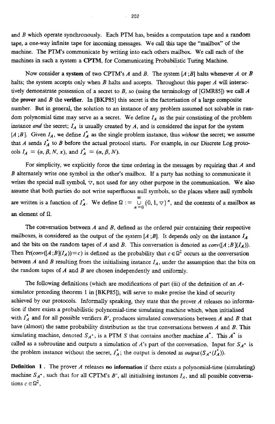and *B* which operate synchronously. Each PTM has, besides a computation tape and a random tape, a one-way infinite tape for incoming messages. We call this **tape** the "mailbox" of the machine. The PTM's communicate by writing into each others mailbox. We call each of the machines in such a system a *CPTM,* for Communicating Probabilistic Turing Machine.

Now consider a system of two CPTM's *A* and *B*. The system  $[A, B]$  halts whenever *A* or *B* halts; the system accepts only when *B* halts and accepts. Throughout this paper *A* will interactively demonstrate possession of a secret to *B,* so (using the terminology of *[GMRW])* we *call A*  the **prover** and *B* the **verifier.** In *[BKFM]* this secret is the factorisation of a large composite number. But in general, the solution to an instance of any problem assumed not solvable in random polynomial time may serve as a secret. We define  $I_A$  as the pair constisting of the problem instance *and* the secret; *IA* is usually created by *A,* and is considered the input for the system [A <sup>*; B*]. Given  $I_A$ , we define  $I_A^*$  as the single problem instance, thus *without* the secret; we assume</sup> that A sends *I;* to *B* before the actual protocol starts. For example, in our Discrete **Log** protocols  $I_A = (\alpha, \beta, N, x)$ , and  $I_A^* = (\alpha, \beta, N)$ .

For simplicity, we explicitly force the time ordering in the messages by requiring that *A* and *B* alternately write one symbol in the other's mailbox. If a party **has** nothing to communicate it writes the special null symbol,  $\nabla$ , not used for any other purpose in the communication. We also assume that both parties do not write superfluous null symbols, *so* the places where null symbols are written is a function of  $I_A^*$ . We define  $\Omega := \bigcup_{n=0}^{\infty} \{0, 1, \nabla\}^n$ , and the contents of a mailbox as **an** element of *Q. n* **=O** 

The conversation between *A* and *B,* defined **as** the ordered pair containing their respective mailboxes, is considered as the output of the system  $[A, B]$ . It depends only on the instance  $I_A$ and the bits on the random tapes of *A* and *B*. This conversation is denoted as *conv*( $[A;B](I_A)$ ). Then Pr(conv([A;B](I<sub>A</sub>))=c) is defined as the probability that  $c \in \Omega^2$  occurs as the conversation between *A* and *B* resulting from the initialising instance  $I_A$ , under the assumption that the bits on the random tapes of *A* and *B* are chosen independently and uniformly.

The following definitions (which are modifications of part **(iii)** of the definition of an *A*simulator preceding theorem 1 in *[BKP85]),* will serve to make precise the kind of security achieved by our protocols. Informally **speaking,** they state that the prover *A* releases no information if there exists a probabilistic polynomial-time simulating machine which, when initialised with  $I_A^*$  and for all possible verifiers *B'*, produces simulated conversations between A and *B* that have (almost) the same probability distribution as the true conversations between *A* and *B.* This simulating machine, denoted  $S_A^*$ , is a PTM *S* that contains another machine  $A^*$ . This  $A^*$  is called as a subroutine and outputs a simulation of *A*'s part of the conversation. Input for  $S_A$ <sup>+</sup> is the problem instance without the secret,  $I_A^*$ ; the output is denoted as *output*( $S_A^*(I_A^*$ )).

**Definition <sup>1</sup>**. The prover *A* releases **no information** if there exists a polynomial-time (simulating) machine  $S_A^*$ , such that for all CPTM's *B'*, all initialising instances  $I_A$ , and all possible conversations  $c \in \Omega^2$ ,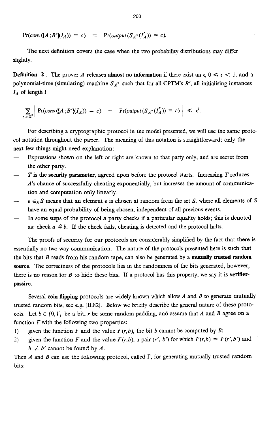$Pr(conv([A | B'](I_A)) = c) = Pr(output(S_A \cdot (I_A^*)) = c).$ 

The next definition covers the case when the two probability distributions may differ slightly.

**Definition 2.** The prover *A* releases **almost no information** if there exist an  $\epsilon$ ,  $0 \leq \epsilon \leq 1$ , and a polynomial-time (simulating) machine  $S_A^*$  such that for all **CPTM's**  $B'$ , all initialising instances *I<sub>A</sub>* of length *I* 

$$
\sum_{c \in \Omega^2} \left| \Pr(\text{conv}([A \; ; B'](I_A)) = c) \right| - \Pr(\text{output}(S_{A^*}(I_A^*)) = c) \right| \leq \epsilon^l.
$$

For describing a cryptogaphic protocol in the model presented, we will use the same proto**col** notation throughout the paper. The meaning of this notation is straightforward; only the next few **things** might **need** explanation:

- Expressions shown on the left or right are known to that party only, and are secret from the other party. -
- *T* is the **security parameter,** agreed upon before the protocol starts. Increasing *T* reduces *A's* chance of successfully cheating exponentially, but increases the amount of communication and computation only linearly. -
- $e \in_{\mathcal{R}} S$  means that an element *e* is chosen at random from the set *S*, where all elements of *S* have an **equal** probability of being chosen, independent of all previous events. -
- In some steps of the protocol a party checks if a particular equality holds; **this** is denoted as: check  $a \triangleq b$ . If the check fails, cheating is detected and the protocol halts.

The proofs of security for our protocols are considerably simplified by the fact that there is essentially no two-way communication. The nature of the protocols presented here is such that the bits that *B* reads from his random tape, can also be generated by a **mutually trusted random source.** The correctness of the protocols lies in the randomness of the bits generated, however, there **is** no reason for *B* to bide these bits. If a protocol **has** this property, we say it is **venfierpassive.** 

Several **coin flipping** protocols are widely known which allow *A* and *B* to generate mutually trusted random bits, see e.g. **[B182].** Below we briefly describe the general nature of these protocols. Let  $b \in \{0,1\}$  be a bit, *r* be some random padding, and assume that *A* and *B* agree on a function  $F$  with the following two properties:

- 1) given the function  $F$  and the value  $F(r, b)$ , the bit  $b$  cannot be computed by  $B$ ;
- 2) *given the function F and the value*  $F(r, b)$ *, a pair*  $(r', b')$  *for which*  $F(r, b) = F(r', b')$  *and*  $b \neq b'$  cannot be found by *A*.

Then *A* and *B* can use the following protocol, called  $\Gamma$ , for generating mutually trusted random bits: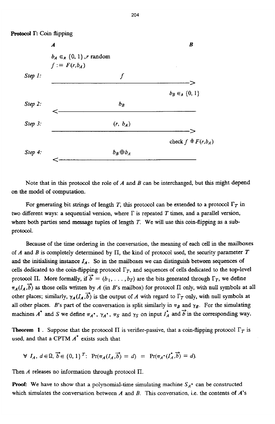

Note that in this protocol the role of *A* and *B* can be interchanged, but this might depend **on** the model of computation.

For generating bit strings of length *T*, this protocol can be extended to a protocol  $\Gamma_T$  in two different ways: a sequential version, where  $\Gamma$  is repeated  $T$  times, and a parallel version, where both parties send message tuples of length *T.* We will use **this** coin-flipping **as** a subprotocol.

Because **of** the time ordering in the conversation, the meaning of each **cell** in the mailboxes of *A* and *B* is completely determined by 11, the kind of protocol used, the security parameter *T*  and the initialising instance  $I_A$ . So in the mailboxes we can distinguish between sequences of cells dedicated to the coin-flipping protocol  $\Gamma_T$ , and sequences of cells dedicated to the top-level protocol II. More formally, if  $\vec{b} = (b_1, \ldots, b_T)$  are the bits generated through  $\Gamma_T$ , we define  $\pi_A(I_A,\vec{b})$  as those cells written by *A* (in *B*'s mailbox) for protocol II only, with null symbols at all other places; similarly,  $\gamma_A(I_A, \vec{b})$  is the output of *A* with regard to  $\Gamma_T$  only, with null symbols at all other places. *B*'s part of the conversation is split similarly in  $\pi_B$  and  $\gamma_B$ . For the simulating machines  $A^*$  and  $S$  we define  $\pi_A^*$ ,  $\gamma_A^*$ ,  $\pi_S$  and  $\gamma_S$  on input  $I_A^*$  and  $\overrightarrow{b}$  in the corresponding way.

**Theorem 1**. Suppose that the protocol  $\Pi$  is verifier-passive, that a coin-flipping protocol  $\Gamma_T$  is used, and that a **CPTM** *A.* **exists** such that

$$
\forall I_A, d \in \Omega, \overrightarrow{b} \in \{0,1\}^T: \Pr(\pi_A(I_A, \overrightarrow{b}) = d) = \Pr(\pi_A \cdot (I_A^*, \overrightarrow{b}) = d).
$$

Then *A* releases no information **through** protocol **II.** 

**Proof:** We have to show that a polynomial-time simulating machine  $S_A^*$  can be constructed which simulates the conversation between *A* and *B.* This conversation, i.e. the contents of *A's*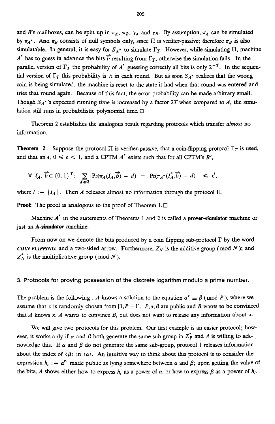and *B*'s mailboxes, can be split up in  $\pi_A$ ,  $\pi_B$ ,  $\gamma_A$  and  $\gamma_B$ . By assumption,  $\pi_A$  can be simulated by  $\pi_A^*$ . And  $\pi_B$  consists of null symbols only, since II is verifier-passive; therefore  $\pi_B$  is also simulatable. In general, it is easy for  $S_A^*$  to simulate  $\Gamma_T$ . However, while simulating  $\Pi$ , machine *A\** has to guess in advance the bits  $\vec{b}$  resulting from  $\Gamma_T$ , otherwise the simulation fails. In the parallel version of  $\Gamma_T$  the probability of  $A^*$  guessing correctly all bits is only  $2^{-T}$ . In the sequential version of  $\Gamma_T$  this probability is  $\frac{1}{2}$  in each round. But as soon  $S_A^*$  realizes that the wrong **coin is** being simulated, the machine is reset to the state it had when that round was **entered** and *tries* that round again. Because of **this** fact, the error probability *can* be made arbitrary **small.**  Though  $S_A^*$ 's expected running time is increased by a factor 2T when compared to *A*, the simulation **still** runs in probabilistic polynomial time.

Theorem **2** establishes the analogous result regarding protocols which transfer *almost* no information.

**Theorem 2**. Suppose the protocol  $\Pi$  is verifier-passive, that a coin-flipping protocol  $\Gamma_T$  is used, and that an  $\epsilon$ ,  $0 \le \epsilon < 1$ , and a CPTM  $A^*$  exists such that for all CPTM's B',

$$
\forall I_A, \overrightarrow{b} \in \{0,1\}^T: \sum_{d \in \Omega} \left| \Pr(\pi_A(I_A, \overrightarrow{b}) = d) - \Pr(\pi_A \cdot (I_A^*, \overrightarrow{b}) = d) \right| \leq \epsilon^I,
$$

where  $I := |I_A|$ . Then *A* releases almost no information through the protocol II.

**Proof:** The proof is analogous to the proof of Theorem 1.□

Machine *A'* **in** the statements of Theorems 1 **and 2** is **called** a **prover-simulator** machine or just *an* **A-simulator** machine.

From now on we denote the bits produced by a coin flipping sub-protocol  $\Gamma$  by the word *COIN FLIPPING*, and a two-sided arrow. Furthermore,  $Z_N$  is the additive group (mod  $N$ ); and  $Z_N^*$  is the multiplicative group (mod *N*).

**3. Protocols for proving possession of the discrete logarithm modulo a prime number.** 

The problem is the following : *A* knows a solution to the equation  $\alpha^x \equiv \beta$  (mod P), where we assume that x is randomly chosen from  $[1, P-1]$ .  $P, \alpha, \beta$  are public and *B* wants to be convinced that *A* knows *x. A* **wants** to convince *B,* but does not want to release any information about *x.* 

We will give two protocols for this problem. Our first example **is** an easier protocol; however, it works only if  $\alpha$  and  $\beta$  both generate the same sub-group in  $Z_P^*$  and  $A$  is willing to acknowledge this. If  $\alpha$  and  $\beta$  do not generate the same sub-group, protocol 1 releases information about the index of  $\langle \beta \rangle$  in  $\langle \alpha \rangle$ . An intuitive way to think about this protocol is to consider the expression  $h_i := \alpha^{e_i}$  made public as lying somewhere between  $\alpha$  and  $\beta$ ; upon getting the value of the bits, *A* shows either how to express  $h_i$  as a power of  $\alpha$ , or how to express  $\beta$  as a power of  $h_i$ .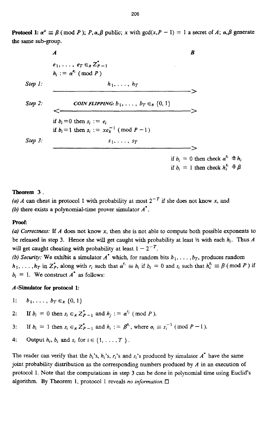**Protocol 1:**  $\alpha^x \equiv \beta \pmod{P}$ ; P,  $\alpha, \beta$  public; x with  $gcd(x, P - 1) = 1$  a secret of A;  $\alpha, \beta$  generate the same sub-group.

 $\overline{B}$  $\boldsymbol{A}$  $e_1, \ldots, e_T \in R Z_{P-1}$  $h_i := \alpha^{e_i} \pmod{P}$  $Step 1.$  $h_1, \ldots, h_T$ COIN FLIPPING:  $b_1, \ldots, b_T \in_R \{0, 1\}$ Step  $2$ :  $\epsilon$ if  $b_i = 0$  then  $s_i := e_i$ if  $b_i = 1$  then  $s_i := xe_i^{-1}$  (mod  $P - 1$ )  $Step 3$ :  $s_1, \ldots, s_T$ if  $b_i = 0$  then check  $\alpha^{s_i} \neq h_i$ if  $b_i = 1$  then check  $h_i^{s_i} \neq \beta$ 

#### Theorem 3.

(a) A can cheat in protocol 1 with probability at most  $2^{-T}$  if she does not know x, and (b) there exists a polynomial-time prover simulator  $A^*$ .

#### Proof:

(a) Correctness: If  $A$  does not know  $x$ , then she is not able to compute both possible exponents to be released in step 3. Hence she will get caught with probability at least  $\frac{1}{2}$  with each  $h_i$ . Thus A will get caught cheating with probability at least  $1 - 2^{-T}$ .

(b) Security: We exhibit a simulator  $A^*$  which, for random bits  $b_1, \ldots, b_T$ , produces random  $h_1, \ldots, h_T$  in  $\mathbb{Z}_P^*$ , along with  $r_i$  such that  $\alpha^{r_i} \equiv h_i$  if  $b_i = 0$  and  $s_i$  such that  $h_i^{s_i} \equiv \beta \pmod{P}$  if  $b_i = 1$ . We construct  $A^*$  as follows:

### A-Simulator for protocol 1:

- $b_1, \ldots, b_T \in_R \{0, 1\}$ Ŀ.
- If  $b_i = 0$  then  $s_i \in_R Z_{P-1}^*$  and  $h_j := \alpha^{s_j} \pmod{P}$ .  $2:$
- If  $b_i = 1$  then  $s_i \in_R Z_{P-1}^*$  and  $h_i := \beta^{\sigma_i}$ , where  $\sigma_i \equiv s_i^{-1}$  (mod  $P-1$ ).  $3:$
- Output  $h_i$ ,  $b_i$  and  $s_i$  for  $i \in \{1, ..., T\}$ .  $4:$

The reader can verify that the  $b_i$ 's,  $h_i$ 's,  $r_i$ 's and  $s_i$ 's produced by simulator  $A^*$  have the same joint probability distribution as the corresponding numbers produced by  $A$  in an execution of protocol 1. Note that the computations in step 3 can be done in polynomial time using Euclid's algorithm. By Theorem 1, protocol 1 reveals no information.  $\square$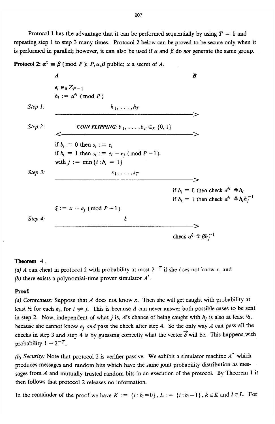Protocol 1 has the advantage that it can be performed sequentially by using  $T = 1$  and repeating step 1 to step **3** many times. Protocol **2** below can be proved to be secure only when it is performed in parallel; however, it can also be used if  $\alpha$  and  $\beta$  do *not* generate the same group.

## **Protocol 2:**  $\alpha^x \equiv \beta \pmod{P}$ ; *P,*  $\alpha, \beta$  *public; x a secret of <i>A*.

|         | A                                                                                                                                                                          | B                                                                                                                 |
|---------|----------------------------------------------------------------------------------------------------------------------------------------------------------------------------|-------------------------------------------------------------------------------------------------------------------|
|         | $e_i \in_R Z_{P-1}$<br>$h_i := \alpha^{e_i} \pmod{P}$                                                                                                                      |                                                                                                                   |
| Step 1: | $h_1, \ldots, h_T$                                                                                                                                                         |                                                                                                                   |
| Step 2: | COIN FLIPPING: $b_1, \ldots, b_T \in_R \{0, 1\}$<br>if $b_i = 0$ then $s_i := e_i$<br>if $b_i = 1$ then $s_i := e_i - e_j \pmod{P-1}$ ,<br>with $j := \min\{i : b_i = 1\}$ |                                                                                                                   |
| Step 3. | $s_1, \ldots, s_T$<br>$\xi := x - e_j \pmod{P-1}$                                                                                                                          | if $b_i = 0$ then check $\alpha^{s_i} \neq h_i$<br>if $b_i = 1$ then check $\alpha^{s_i} \triangleq h_i h_i^{-1}$ |
| Step 4: | ξ                                                                                                                                                                          | check $\alpha^{\xi} \neq \beta h_i^{-1}$                                                                          |

#### **Theorem 4.**

(a) *A* can cheat in protocol 2 with probability at most  $2^{-T}$  if she does not know *x*, and *(b)* there exists a polynomial-time prover simulator *A'.* 

### **ProoE**

*(a) Correctness:* Suppose that *A* does not know *x.* Then she will get caught with probability at least  $\frac{1}{2}$  for each  $h_i$ , for  $i \neq j$ . This is because *A* can never answer both possible cases to be sent in step 2. Now, independent of what *j* is, *A*'s chance of being caught with  $h_j$  is also at least  $\frac{1}{2}$ , because she cannot know *ej and* pass the check after step **4.** *So* the only way *A can* **pass all** the checks in step 3 and step 4 is by guessing correctly what the vector  $\vec{b}$  will be. This happens with probability  $1 - 2^{-T}$ .

*(b) Securig:* Note that protocol 2 is verifier-passive. We exhibit a simulator machine *A'* which produces messages and random bits which have the same joint probability distribution **as** mes*sages* from *A* and mutually trusted random bits in an execution of the protocol. By Theorem **1** it then follows that protocol 2 releases no information.

In the remainder of the proof we have  $K := \{i : b_i = 0\}$ ,  $L := \{i : b_i = 1\}$ ,  $k \in K$  and  $l \in L$ . For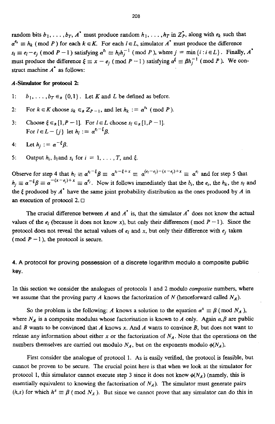random bits  $b_1, \ldots, b_T, A^*$  must produce random  $h_1, \ldots, h_T$  in  $Z_P^*$ , along with  $e_k$  such that  $\alpha^{e_k} \equiv h_k \pmod{P}$  for each  $k \in K$ . For each  $l \in L$ , simulator  $A^*$  must produce the difference  $s_l \equiv e_l - e_j \pmod{P-1}$  satisfying  $\alpha^{s_l} \equiv h_l h_j^{-1} \pmod{P}$ , where  $j = \min\{i : i \in L\}$ . Finally,  $A^*$ must produce the difference  $\xi \equiv x - e_i \pmod{P-1}$  satisfying  $\alpha^{\xi} \equiv \beta h_i^{-1} \pmod{P}$ . We construct machine  $A^*$  as follows:

#### A-Simulator for protocol 2:

- $1:$  $b_1, \ldots, b_T \in_R \{0,1\}$ . Let K and L be defined as before.
- For  $k \in K$  choose  $s_k \in_R Z_{P-1}$ , and let  $h_k := \alpha^{s_k} \pmod{P}$ .  $2:$
- Choose  $\xi \in_R [1, P-1]$ . For  $l \in L$  choose  $s_l \in_R [1, P-1]$ .  $3:$ For  $l \in L - \{j\}$  let  $h_l := \alpha^{s_l - \xi} \beta$ .
- Let  $h_i := \alpha^{-\xi} \beta$ .  $4:$
- $5:$ Output  $h_i$ ,  $b_i$  and  $s_i$  for  $i = 1, ..., T$ , and  $\xi$ .

Observe for step 4 that  $h_l \equiv \alpha^{s_l - \xi} \beta \equiv \alpha^{s_l - \xi + x} \equiv \alpha^{(e_l - e_j) - (x - e_j) + x} \equiv \alpha^{e_l}$  and for step 5 that  $h_i \equiv \alpha^{-\xi} \beta \equiv \alpha^{-(x-\epsilon_i)+x} \equiv \alpha^{\epsilon_i}$ . Now it follows immediately that the  $b_i$ , the  $\epsilon_i$ , the  $h_k$ , the  $s_i$  and the  $\xi$  produced by  $A^*$  have the same joint probability distribution as the ones produced by  $A$  in an execution of protocol  $2. \Box$ 

The crucial difference between A and  $A^*$  is, that the simulator  $A^*$  does not know the actual values of the  $e_i$  (because it does not know x), but only their differences (mod  $P-1$ ). Since the protocol does not reveal the actual values of  $e_l$  and x, but only their difference with  $e_i$  taken (mod  $P-1$ ), the protocol is secure.

4. A protocol for proving possession of a discrete logarithm modulo a composite public key.

In this section we consider the analogues of protocols 1 and 2 modulo composite numbers, where we assume that the proving party A knows the factorization of N (henceforward called  $N_A$ ).

So the problem is the following: A knows a solution to the equation  $\alpha^x \equiv \beta$  (mod  $N_A$ ), where  $N_A$  is a composite modulus whose factorisation is known to A only. Again  $\alpha, \beta$  are public and  $B$  wants to be convinced that  $A$  knows  $x$ . And  $A$  wants to convince  $B$ , but does not want to release any information about either x or the factorization of  $N_A$ . Note that the operations on the numbers themselves are carried out modulo  $N_A$ , but on the exponents modulo  $\phi(N_A)$ .

First consider the analogue of protocol 1. As is easily verified, the protocol is feasible, but cannot be proven to be secure. The crucial point here is that when we look at the simulator for protocol 1, this simulator cannot execute step 3 since it does not know  $\phi(N_A)$  (namely, this is essentially equivalent to knowing the factorisation of  $N_A$ ). The simulator must generate pairs  $(h, s)$  for which  $h^s \equiv \beta \pmod{N_A}$ . But since we cannot prove that any simulator can do this in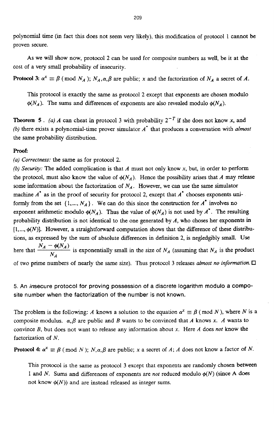polynomial time (in fact this does not seem very likely), this modification of protocol 1 cannot be proven secure.

**AS** we will show now, protocol *2* can be used for composite numbers **as** well, be it at the cost of a very small probability of insecurity.

**Protocol 3:**  $\alpha^x \equiv \beta \pmod{N_A}$ ;  $N_A, \alpha, \beta$  are public; x and the factorization of  $N_A$  a secret of *A*.

This protocol is exactly the same as protocol **2** except that exponents are chosen modulo  $\phi(N_A)$ . The sums and differences of exponents are also revealed modulo  $\phi(N_A)$ .

**Theorem 5.** *(a) A can cheat in protocol 3 with probability*  $2^{-T}$  if she does not know *x*, and *(b)* there exists a polynomial-time prover simulator *A'* that produces a conversation with *almost*  the same probability distribution.

#### **proof:**

*(a) Correctness:* the same as for protocol **2.** 

*(b) Security:* The added complication is that *A* must not only know **x,** but, in order to perform the protocol, must also know the value of  $\phi(N_A)$ . Hence the possibility arises that *A* may release some information about the factorization of  $N_A$ . However, we can use the same simulator machine *A'* **as in** the proof of security for protocol *2,* except that *A'* chooses exponents uniformly from the set  $\{1, ..., N_A\}$ . We can do this since the construction for  $A^*$  involves no exponent arithmetic modulo  $\phi(N_A)$ . Thus the value of  $\phi(N_A)$  is not used by  $A^*$ . The resulting probability distribution is not identical to the one generated by *A,* who choses her exponents **in**   $[1, ..., \phi(N)]$ . However, a straightforward computation shows that the difference of these distributions, **as** expressed by the **sum** of absolute differences in definition **2,** is negledgibly **small. Use**  here that  $\frac{N_A - \phi(N_A)}{N_A}$  is exponentially small in the size of  $N_A$  (assuming that  $N_A$  is the product of two prime numbers of nearly the same size). **Thus** protocol 3 releases *almost no information.* 

## **5. An insecure protocol for proving possession of a discrete logarithm modulo a composite number when the factorization of the number is not known.**

The problem is the following: *A* knows a solution to the equation  $\alpha^x \equiv \beta$  (mod *N*), where *N* is a composite modulus.  $\alpha$ ,  $\beta$  are public and *B* wants to be convinced that *A* knows *x*. *A* wants to convince *B,* but does not want to release any information about **x.** Here *A* does *not* know the factorization of *N.* 

**Protocol 4:**  $\alpha^x \equiv \beta$  (mod *N*); *N,a,*  $\beta$  are public; *x* a secret of *A*; *A* does not know a factor of *N*.

This protocol is **the** same **as** protocol 3 except that exponents are randomly chosen **between**  1 and *N*. Sums and differences of exponents are *not* reduced modulo  $\phi(N)$  (since A does not know  $\phi(N)$ ) and are instead released as integer sums.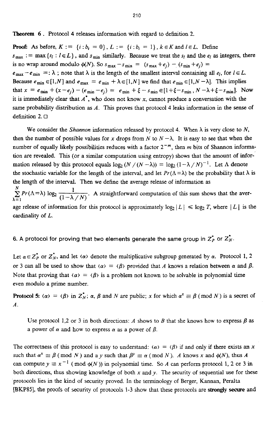**Theorem** *<sup>6</sup>*. Protocol **4** releases information with regard to definition *2.* 

**Proof:** As before,  $K := \{i : b_i = 0\}$ ,  $L := \{i : b_i = 1\}$ ,  $k \in K$  and  $l \in L$ . Define  $s_{\text{max}} := \max \{ s_i : l \in L \}$ , and  $s_{\text{min}}$  similarly. Because we treat the  $s_i$  and the  $e_i$  as integers, there is no wrap around modulo  $\phi(N)$ . So  $s_{\text{max}} - s_{\text{min}} = (s_{\text{max}} + e_i) - (s_{\text{min}} + e_i) =$ 

 $e_{\text{max}} - e_{\text{min}} =: \lambda$ ; note that  $\lambda$  is the length of the smallest interval containing all  $e_l$ , for  $l \in L$ . Because  $e_{\min} \in [1, N]$  and  $e_{\max} = e_{\min} + \lambda \in [1, N]$  we find that  $e_{\min} \in [1, N - \lambda]$ . This implies that  $x = e_{min} + (x-e_i) - (e_{min}-e_i) = e_{min} + \xi - s_{min} \in [1+\xi-s_{min}, N-\lambda+\xi-s_{min}]$ . Now it **is** immediately clear that *A',* who does not know **x,** cannot produce a conversation with the same probability distribution as *A.* This proves that protocol **4** leaks information in the *sense* of definition 2. □

We consider the *Shannon* information released by protocol 4. When  $\lambda$  is very close to *N*, then the number of possible values for *x* drops from N to  $N - \lambda$ . It is easy to see that when the number of equally likely possibilities reduces with a factor  $2^{-m}$ , then *m* bits of Shannon information are revealed. **This** (or a similar computation using entropy) shows that the amount of information released by this protocol equals  $\log_2 (N/(N - \lambda)) = \log_2 (1 - \lambda/N)^{-1}$ . Let  $\Lambda$  denote the stochastic variable for the length of the interval, and let  $Pr(\Lambda = \lambda)$  be the probability that  $\lambda$  is the length of the interval. Then we define the average release of information as  $\sum_{\lambda=1}^{N} Pr(\Lambda = \lambda) \log_2 \frac{1}{(1-\lambda/N)}$ . A straightforward computation of this sum shows that the avercardinality of *L.*  age release of information for this protocol is approximately  $\log_2 |L| \le \log_2 T$ , where  $|L|$  is the

## 6. A protocol for proving that two elements generate the same group in  $Z_P^*$  or  $Z_N^*$ .

Let  $\alpha \in Z_P^*$  or  $Z_N^*$ , and let  $\langle \alpha \rangle$  denote the multiplicative subgroup generated by  $\alpha$ . Protocol 1, 2 or 3 can all be used to show that  $\langle \alpha \rangle = \langle \beta \rangle$  provided that *A* knows a relation between  $\alpha$  and  $\beta$ . Note that proving that  $\langle \alpha \rangle = \langle \beta \rangle$  is a problem not known to be solvable in polynomial time even modulo a prime number.

**Protocol 5:**  $\langle \alpha \rangle = \langle \beta \rangle$  in  $Z_N^*$ ;  $\alpha$ ,  $\beta$  and  $N$  are public;  $x$  for which  $\alpha^x \equiv \beta$  (mod  $N$ ) is a secret of *A.* 

Use protocol 1,2 or 3 in both directions: *A* shows to *B* that she knows how to express  $\beta$  as a power of  $\alpha$  and how to express  $\alpha$  as a power of  $\beta$ .

The correctness of this protocol is easy to understand:  $\langle \alpha \rangle = \langle \beta \rangle$  if and only if there exists an x such that  $\alpha^x \equiv \beta \pmod{N}$  and a y such that  $\beta^y \equiv \alpha \pmod{N}$ . A knows x and  $\phi(N)$ , thus A can compute  $y \equiv x^{-1} \pmod{\phi(N)}$  in polynomial time. So *A* can perform protocol 1, 2 or 3 in both directions, thus showing knowledge of both *x* and y. The security of sequential use for these protocols lies in the kind of security proved. In the terminology of Berger, Kannan, Peralta [BKPW], the proofs of security of protocols 1-3 show that these protocols are **strongly** *secure* **and**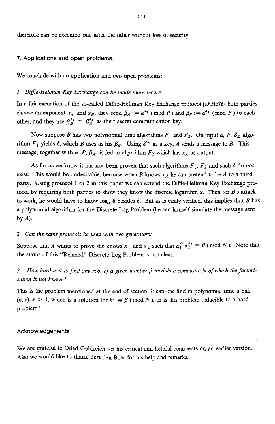therefore can be executed one after the other without loss of security.

#### **7. Applications and open problems.**

We conclude with an application and two open problems:

#### *1. Difie-Hellman Key Exchange can be made more secure:*

**In** a fair execution of the so-called Difiie-Hellman Key Exchange protocol [DiHe76] both parties choose an exponent  $x_A$  and  $x_B$ , they send  $\beta_A := \alpha^{x_A} \pmod{P}$  and  $\beta_B := \alpha^{x_B} \pmod{P}$  to each other, and they use  $\beta_A^{x_A} = \beta_A^{x_B}$  as their secret communication key.

Now suppose *B* has two polynomial time algorithms  $F_1$  and  $F_2$ . On input  $\alpha$ ,  $P$ ,  $\beta_A$  algorithm  $F_1$  yields  $\delta$ , which *B* uses as his  $\beta_B$ . Using  $\delta^{x_A}$  as a key, *A* sends a message to *B*. This message, together with  $\alpha$ , P,  $\beta_A$ , is fed to algorithm  $F_2$  which has  $x_A$  as output.

As far as we know it has not been proven that such algorithms  $F_1$ ,  $F_2$  and such  $\delta$  do not exist. This would be undesirable, because when *B* knows  $x_A$  he can pretend to be *A* to a third party. Using protocol 1 or 2 in this paper we can extend the Diffie-Hellman Key Exchange protocol **by** requiring both parties to show they know the discrete logarithm *x.* Then for *B's* attack to work, he would have to know  $log_a \delta$  besides  $\delta$ . But as is easily verified, this implies that *B* has a polynomial algorithm for the Discrete Log Problem (he can **himself** simulate the message **sent**  by *A).* 

#### 2. Can the same protocols be used with two generators?

Suppose that *A* wants to prove she knows  $x_1$  and  $x_2$  such that  $\alpha_1^{x_1} \alpha_2^{x_2} \equiv \beta \pmod{N}$ . Note that the status of this "Relaxed" Discrete Log Problem is not clear.

#### **3.**  *zation* is *not known? How hard is it to find any root of a given number*  $\beta$  *modulo a composite N of which the factori-*

This is the problem mentioned at the end of section 3: can one find in polynomial time a **pair**   $(h, s)$ ,  $s > 1$ , which is a solution for  $h^s \equiv \beta \pmod{N}$ , or is this problem reducible to a hard problem?

#### **Acknowledgements**

We are grateful to Oded Goldreich for **his** critical and helpful comments on an earlier version. Also we would like to thank Bert den Boer for his help and remarks.